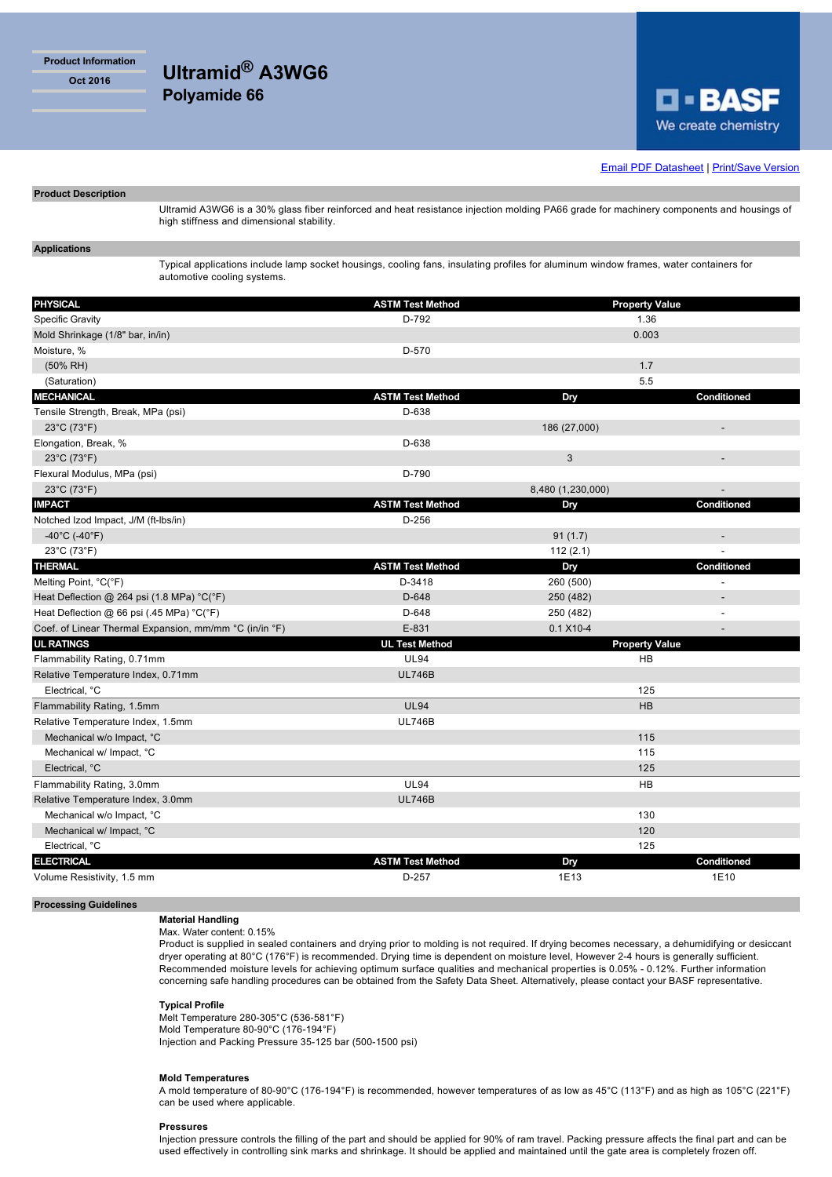**Product Information**

**Oct 2016 Ultramid® A3WG6 Polyamide 66**



**Email PDF Datasheet | Print/Save Version** 

# **Product Description**

Ultramid A3WG6 is a 30% glass fiber reinforced and heat resistance injection molding PA66 grade for machinery components and housings of high stiffness and dimensional stability.

# **Applications**

Typical applications include lamp socket housings, cooling fans, insulating profiles for aluminum window frames, water containers for automotive cooling systems.

| <b>PHYSICAL</b>                                        | <b>ASTM Test Method</b> | <b>Property Value</b> |                          |
|--------------------------------------------------------|-------------------------|-----------------------|--------------------------|
| <b>Specific Gravity</b>                                | D-792                   | 1.36                  |                          |
| Mold Shrinkage (1/8" bar, in/in)                       |                         | 0.003                 |                          |
| Moisture, %                                            | D-570                   |                       |                          |
| $(50\% \text{ RH})$                                    |                         | 1.7                   |                          |
| (Saturation)                                           |                         | 5.5                   |                          |
| <b>MECHANICAL</b>                                      | <b>ASTM Test Method</b> | Dry                   | Conditioned              |
| Tensile Strength, Break, MPa (psi)                     | D-638                   |                       |                          |
| $23^{\circ}$ C (73 $^{\circ}$ F)                       |                         | 186 (27,000)          | ÷                        |
| Elongation, Break, %                                   | D-638                   |                       |                          |
| 23°C (73°F)                                            |                         | $\mathbf{3}$          | $\overline{a}$           |
| Flexural Modulus, MPa (psi)                            | D-790                   |                       |                          |
| $23^{\circ}$ C (73 $^{\circ}$ F)                       |                         | 8,480 (1,230,000)     |                          |
| <b>IMPACT</b>                                          | <b>ASTM Test Method</b> | Dry                   | Conditioned              |
| Notched Izod Impact, J/M (ft-Ibs/in)                   | $D-256$                 |                       |                          |
| -40°C (-40°F)                                          |                         | 91(1.7)               | $\overline{\phantom{a}}$ |
| 23°C (73°F)                                            |                         | 112(2.1)              |                          |
| <b>THERMAL</b>                                         | <b>ASTM Test Method</b> | Dry                   | Conditioned              |
| Melting Point, °C(°F)                                  | D-3418                  | 260 (500)             |                          |
| Heat Deflection @ 264 psi (1.8 MPa) °C(°F)             | D-648                   | 250 (482)             |                          |
| Heat Deflection @ 66 psi (.45 MPa) °C(°F)              | D-648                   | 250 (482)             | Ĭ.                       |
| Coef. of Linear Thermal Expansion, mm/mm °C (in/in °F) | E-831                   | $0.1 X10 - 4$         |                          |
| <b>UL RATINGS</b>                                      | <b>UL Test Method</b>   | <b>Property Value</b> |                          |
| Flammability Rating, 0.71mm                            | <b>UL94</b>             | HB                    |                          |
| Relative Temperature Index, 0.71mm                     | <b>UL746B</b>           |                       |                          |
| Electrical, °C                                         |                         | 125                   |                          |
| Flammability Rating, 1.5mm                             | <b>UL94</b>             | HB                    |                          |
| Relative Temperature Index, 1.5mm                      | <b>UL746B</b>           |                       |                          |
| Mechanical w/o Impact, °C                              |                         | 115                   |                          |
| Mechanical w/ Impact, °C                               |                         | 115                   |                          |
| Electrical, °C                                         |                         | 125                   |                          |
| Flammability Rating, 3.0mm                             | <b>UL94</b>             | HB                    |                          |
| Relative Temperature Index, 3.0mm                      | <b>UL746B</b>           |                       |                          |
| Mechanical w/o Impact, °C                              |                         | 130                   |                          |
| Mechanical w/ Impact, °C                               |                         | 120                   |                          |
| Electrical, °C                                         |                         | 125                   |                          |
| <b>ELECTRICAL</b>                                      | <b>ASTM Test Method</b> | Dry                   | Conditioned              |
| Volume Resistivity, 1.5 mm                             | $D-257$                 | 1E13                  | 1E10                     |

### **Processing Guidelines**

# **Material Handling**

Max. Water content: 0.15%

Product is supplied in sealed containers and drying prior to molding is not required. If drying becomes necessary, a dehumidifying or desiccant dryer operating at 80°C (176°F) is recommended. Drying time is dependent on moisture level, However 2-4 hours is generally sufficient. Recommended moisture levels for achieving optimum surface qualities and mechanical properties is 0.05% - 0.12%. Further information concerning safe handling procedures can be obtained from the Safety Data Sheet. Alternatively, please contact your BASF representative.

# **Typical Profile**

Melt Temperature 280-305°C (536-581°F) Mold Temperature 80-90°C (176-194°F) Injection and Packing Pressure 35-125 bar (500-1500 psi)

## **Mold Temperatures**

A mold temperature of 80-90°C (176-194°F) is recommended, however temperatures of as low as 45°C (113°F) and as high as 105°C (221°F) can be used where applicable.

#### **Pressures**

Injection pressure controls the filling of the part and should be applied for 90% of ram travel. Packing pressure affects the final part and can be used effectively in controlling sink marks and shrinkage. It should be applied and maintained until the gate area is completely frozen off.